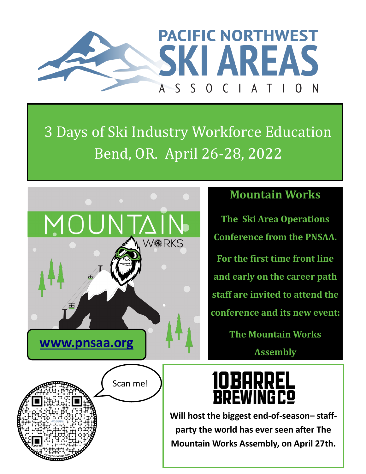

## 3 Days of Ski Industry Workforce Education Bend, OR. April 26-28, 2022



#### **Mountain Works**

**The Ski Area Operations Conference from the PNSAA. For the first time front line and early on the career path staff are invited to attend the conference and its new event:**

> **The Mountain Works Assembly**

### **10BARREL BREWINGCO**

**Will host the biggest end-of-season– staffparty the world has ever seen after The Mountain Works Assembly, on April 27th.**